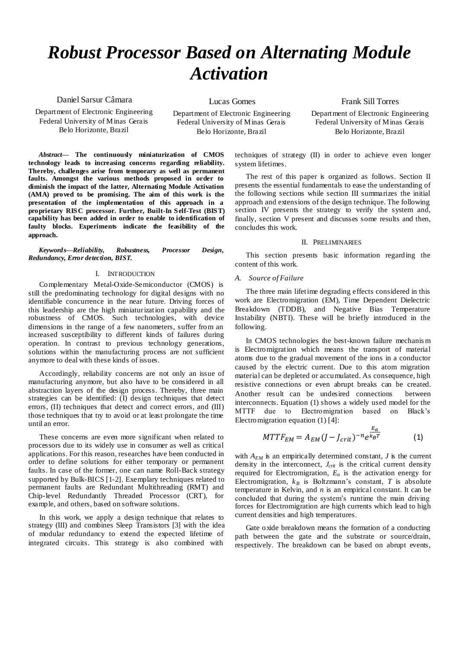# *Robust Processor Based on Alternating Module Activation*

Daniel Sarsur Câmara Department of Electronic Engineering Federal University of Minas Gerais Belo Horizonte, Brazil

Lucas Gomes

Department of Electronic Engineering Federal University of Minas Gerais Belo Horizonte, Brazil

*Abstract***— The continuously miniaturization of CMOS technology leads to increasing concerns regarding reliability. Thereby, challenges arise from temporary as well as permanent faults. Amongst the various methods proposed in order to diminish the impact of the latter, Alternating Module Activation (AMA) proved to be promising. The aim of this work is the presentation of the implementation of this approach in a proprietary RISC processor. Further, Built-In Self-Test (BIST) capability has been added in order to enable to identification of faulty blocks. Experiments indicate the feasibility of the approach.**

*Keywords—Reliability, Robustness, Processor Design, Redundancy, Error detection, BIST.*

#### I. INTRODUCTION

Complementary Metal-Oxide-Semiconductor (CMOS) is still the predominating technology for digital designs with no identifiable concurrence in the near future. Driving forces of this leadership are the high miniaturization capability and the robustness of CMOS. Such technologies, with device dimensions in the range of a few nanometers, suffer from an increased susceptibility to different kinds of failures during operation. In contrast to previous technology generations, solutions within the manufacturing process are not sufficient anymore to deal with these kinds of issues.

Accordingly, reliability concerns are not only an issue of manufacturing anymore, but also have to be considered in all abstraction layers of the design process. Thereby, three main strategies can be identified: (I) design techniques that detect errors, (II) techniques that detect and correct errors, and (III) those techniques that try to avoid or at least prolongate the time until an error.

These concerns are even more significant when related to processors due to its widely use in consumer as well as critical applications. For this reason, researches have been conducted in order to define solutions for either temporary or permanent faults. In case of the former, one can name Roll-Back strategy supported by Bulk-BICS [1-2]. Exemplary techniques related to permanent faults are Redundant Multithreading (RMT) and Chip-level Redundantly Threaded Processor (CRT), for example, and others, based on software solutions.

In this work, we apply a design technique that relates to strategy (III) and combines Sleep Transistors [3] with the idea of modular redundancy to extend the expected lifetime of integrated circuits. This strategy is also combined with

Department of Electronic Engineering Federal University of Minas Gerais Belo Horizonte, Brazil

Frank Sill Torres

techniques of strategy (II) in order to achieve even longer system lifetimes.

The rest of this paper is organized as follows. Section II presents the essential fundamentals to ease the understanding of the following sections while section III summarizes the initial approach and extensions of the design technique. The following section IV presents the strategy to verify the system and, finally, section V present and discusses some results and then, concludes this work.

#### II. PRELIMINARIES

This section presents basic information regarding the content of this work.

#### *A. Source of Failure*

The three main lifetime degrading effects considered in this work are Electromigration (EM), Time Dependent Dielectric Breakdown (TDDB), and Negative Bias Temperature Instability (NBTI). These will be briefly introduced in the following.

In CMOS technologies the best-known failure mechanis m is Electromigration which means the transport of material atoms due to the gradual movement of the ions in a conductor caused by the electric current. Due to this atom migration material can be depleted or accumulated. As consequence, high resistive connections or even abrupt breaks can be created. Another result can be undesired connections between interconnects. Equation (1) shows a widely used model for the MTTF due to Electromigration based on Black's Electromigration equation (1) [4]:

$$
MTTF_{EM} = A_{EM}(J - J_{crit})^{-n} e^{\frac{E_a}{k_B T}}
$$
 (1)

with  $A_{EM}$  is an empirically determined constant,  $J$  is the current density in the interconnect, *Jcrit* is the critical current density required for Electromigration, *E<sup>a</sup>* is the activation energy for Electromigration,  $k_B$  is Boltzmann's constant,  $T$  is absolute temperature in Kelvin, and *n* is an empirical constant. It can be concluded that during the system's runtime the main driving forces for Electromigration are high currents which lead to high current densities and high temperatures.

Gate oxide breakdown means the formation of a conducting path between the gate and the substrate or source/drain, respectively. The breakdown can be based on abrupt events,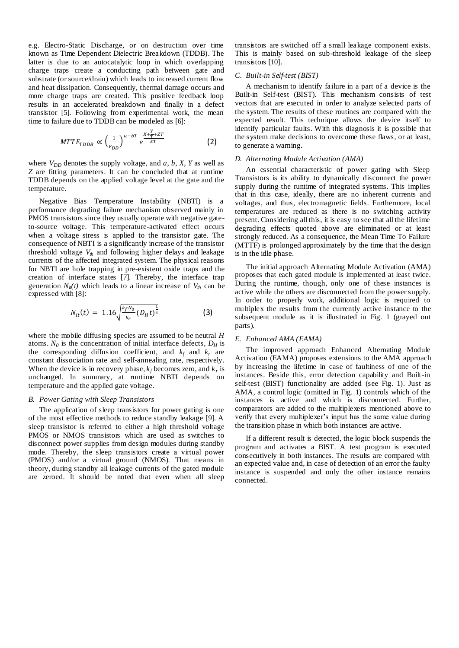e.g. Electro-Static Discharge, or on destruction over time known as Time Dependent Dielectric Breakdown (TDDB). The latter is due to an autocatalytic loop in which overlapping charge traps create a conducting path between gate and substrate (or source/drain) which leads to increased current flow and heat dissipation. Consequently, thermal damage occurs and more charge traps are created. This positive feedback loop results in an accelerated breakdown and finally in a defect transistor [5]. Following from experimental work, the mean time to failure due to TDDB can be modeled as [6]:

$$
MTF_{TDB} \propto \left(\frac{1}{v_{DD}}\right)^{a-bT} e^{\frac{X + \frac{Y}{T} + ZT}{kT}}
$$
 (2)

where  $V_{DD}$  denotes the supply voltage, and  $a, b, X, Y$  as well as *Z* are fitting parameters. It can be concluded that at runtime TDDB depends on the applied voltage level at the gate and the temperature.

Negative Bias Temperature Instability (NBTI) is a performance degrading failure mechanism observed mainly in PMOS transistors since they usually operate with negative gateto-source voltage. This temperature-activated effect occurs when a voltage stress is applied to the transistor gate. The consequence of NBTI is a significantly increase of the transistor threshold voltage  $V_{th}$  and following higher delays and leakage currents of the affected integrated system. The physical reasons for NBTI are hole trapping in pre-existent oxide traps and the creation of interface states [7]. Thereby, the interface trap generation  $N_{it}(t)$  which leads to a linear increase of  $V_{th}$  can be expressed with [8]:

$$
N_{it}(t) = 1.16 \sqrt{\frac{k_f N_0}{k_r} (D_H t)^{\frac{1}{4}}}
$$
 (3)

where the mobile diffusing species are assumed to be neutral *H* atoms.  $N_0$  is the concentration of initial interface defects,  $D_H$  is the corresponding diffusion coefficient, and  $k_f$  and  $k_r$  are constant dissociation rate and self-annealing rate, respectively. When the device is in recovery phase,  $k_f$  becomes zero, and  $k_r$  is unchanged. In summary, at runtime NBTI depends on temperature and the applied gate voltage.

### *B. Power Gating with Sleep Transistors*

The application of sleep transistors for power gating is one of the most effective methods to reduce standby leakage [9]. A sleep transistor is referred to either a high threshold voltage PMOS or NMOS transistors which are used as switches to disconnect power supplies from design modules during standby mode. Thereby, the sleep transistors create a virtual power (PMOS) and/or a virtual ground (NMOS). That means in theory, during standby all leakage currents of the gated module are zeroed. It should be noted that even when all sleep

transistors are switched off a small leakage component exists. This is mainly based on sub-threshold leakage of the sleep transistors [10].

#### *C. Built-in Self-test (BIST)*

A mechanism to identify failure in a part of a device is the Built-in Self-test (BIST). This mechanism consists of test vectors that are executed in order to analyze selected parts of the system. The results of these routines are compared with the expected result. This technique allows the device itself to identify particular faults. With this diagnosis it is possible that the system make decisions to overcome these flaws, or at least, to generate a warning.

#### *D. Alternating Module Activation (AMA)*

An essential characteristic of power gating with Sleep Transistors is its ability to dynamically disconnect the power supply during the runtime of integrated systems. This implies that in this case, ideally, there are no inherent currents and voltages, and thus, electromagnetic fields. Furthermore, local temperatures are reduced as there is no switching activity present. Considering all this, it is easy to see that all the lifetime degrading effects quoted above are eliminated or at least strongly reduced. As a consequence, the Mean Time To Failure (MTTF) is prolonged approximately by the time that the design is in the idle phase.

The initial approach Alternating Module Activation (AMA) proposes that each gated module is implemented at least twice. During the runtime, though, only one of these instances is active while the others are disconnected from the power supply. In order to properly work, additional logic is required to multiplex the results from the currently active instance to the subsequent module as it is illustrated in Fig. 1 (grayed out parts).

#### *E. Enhanced AMA (EAMA)*

The improved approach Enhanced Alternating Module Activation (EAMA) proposes extensions to the AMA approach by increasing the lifetime in case of faultiness of one of the instances. Beside this, error detection capability and Built-in self-test (BIST) functionality are added (see Fig. 1). Just as AMA, a control logic (omitted in Fig. 1) controls which of the instances is active and which is disconnected. Further, comparators are added to the multiplexers mentioned above to verify that every multiplexer's input has the same value during the transition phase in which both instances are active.

If a different result is detected, the logic block suspends the program and activates a BIST. A test program is executed consecutively in both instances. The results are compared with an expected value and, in case of detection of an error the faulty instance is suspended and only the other instance remains connected.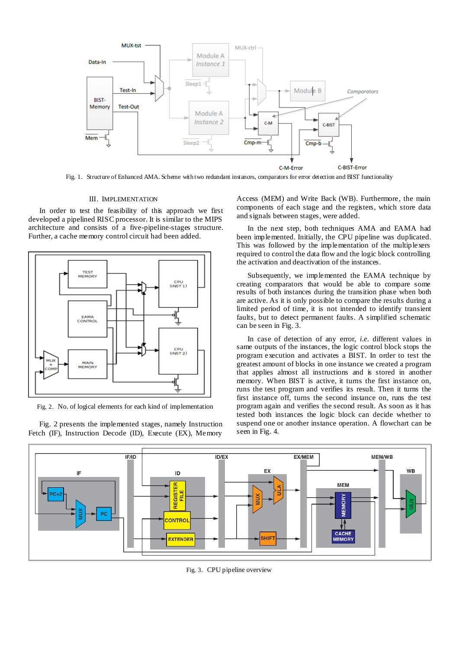

Fig. 1. Structure of Enhanced AMA. Scheme with two redundant instances, comparators for error detection and BIST functionality

## III. IMPLEMENTATION

In order to test the feasibility of this approach we first developed a pipelined RISC processor. It is similar to the MIPS architecture and consists of a five-pipeline-stages structure. Further, a cache memory control circuit had been added.



Fig. 2. No. of logical elements for each kind of implementation

Fig. 2 presents the implemented stages, namely Instruction Fetch (IF), Instruction Decode (ID), Execute (EX), Memory

Access (MEM) and Write Back (WB). Furthermore, the main components of each stage and the registers, which store data and signals between stages, were added.

In the next step, both techniques AMA and EAMA had been implemented. Initially, the CPU pipeline was duplicated. This was followed by the implementation of the multiplexers required to control the data flow and the logic block controlling the activation and deactivation of the instances.

Subsequently, we implemented the EAMA technique by creating comparators that would be able to compare some results of both instances during the transition phase when both are active. As it is only possible to compare the results during a limited period of time, it is not intended to identify transient faults, but to detect permanent faults. A simplified schematic can be seen in Fig. 3.

In case of detection of any error, *i.e.* different values in same outputs of the instances, the logic control block stops the program execution and activates a BIST. In order to test the greatest amount of blocks in one instance we created a program that applies almost all instructions and is stored in another memory. When BIST is active, it turns the first instance on, runs the test program and verifies its result. Then it turns the first instance off, turns the second instance on, runs the test program again and verifies the second result. As soon as it has tested both instances the logic block can decide whether to suspend one or another instance operation. A flowchart can be seen in Fig. 4.



Fig. 3. CPU pipeline overview